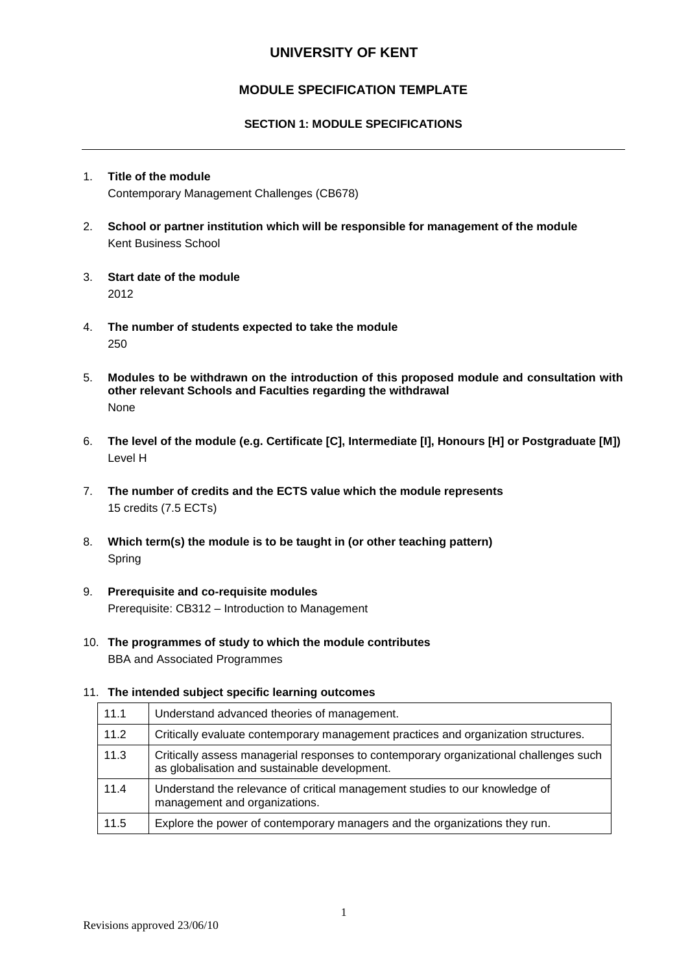# **UNIVERSITY OF KENT**

# **MODULE SPECIFICATION TEMPLATE**

### **SECTION 1: MODULE SPECIFICATIONS**

# 1. **Title of the module** Contemporary Management Challenges (CB678)

- 2. **School or partner institution which will be responsible for management of the module** Kent Business School
- 3. **Start date of the module** 2012
- 4. **The number of students expected to take the module** 250
- 5. **Modules to be withdrawn on the introduction of this proposed module and consultation with other relevant Schools and Faculties regarding the withdrawal** None
- 6. **The level of the module (e.g. Certificate [C], Intermediate [I], Honours [H] or Postgraduate [M])** Level H
- 7. **The number of credits and the ECTS value which the module represents**  15 credits (7.5 ECTs)
- 8. **Which term(s) the module is to be taught in (or other teaching pattern)** Spring
- 9. **Prerequisite and co-requisite modules** Prerequisite: CB312 – Introduction to Management
- 10. **The programmes of study to which the module contributes** BBA and Associated Programmes

#### 11. **The intended subject specific learning outcomes**

| 11.1 | Understand advanced theories of management.                                                                                            |
|------|----------------------------------------------------------------------------------------------------------------------------------------|
| 11.2 | Critically evaluate contemporary management practices and organization structures.                                                     |
| 11.3 | Critically assess managerial responses to contemporary organizational challenges such<br>as globalisation and sustainable development. |
| 11.4 | Understand the relevance of critical management studies to our knowledge of<br>management and organizations.                           |
| 11.5 | Explore the power of contemporary managers and the organizations they run.                                                             |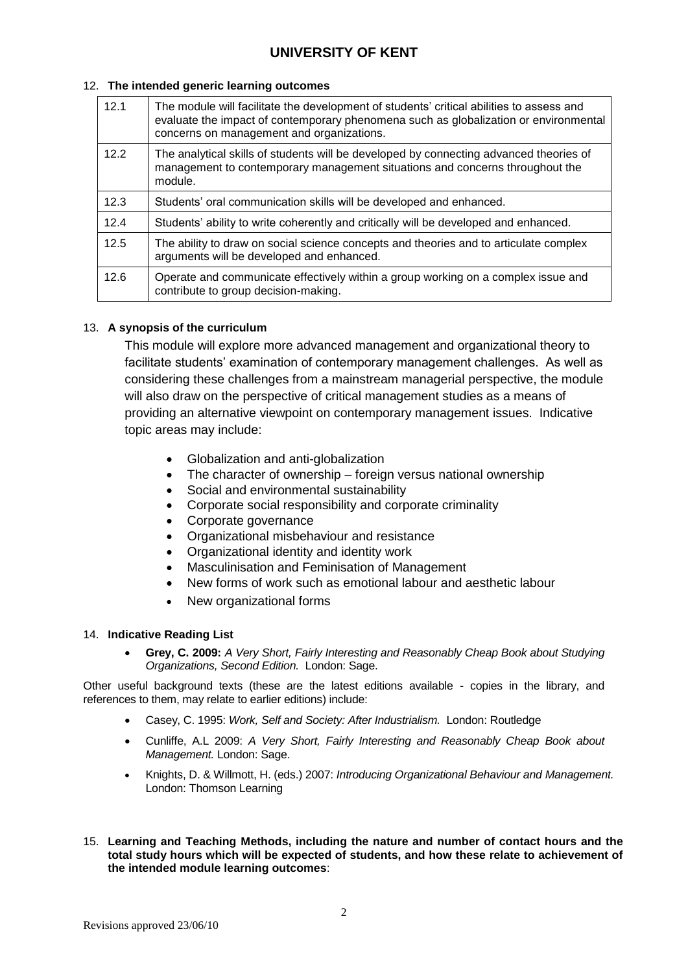#### 12. **The intended generic learning outcomes**

| 12.1 | The module will facilitate the development of students' critical abilities to assess and<br>evaluate the impact of contemporary phenomena such as globalization or environmental<br>concerns on management and organizations. |  |  |  |
|------|-------------------------------------------------------------------------------------------------------------------------------------------------------------------------------------------------------------------------------|--|--|--|
| 12.2 | The analytical skills of students will be developed by connecting advanced theories of<br>management to contemporary management situations and concerns throughout the<br>module.                                             |  |  |  |
| 12.3 | Students' oral communication skills will be developed and enhanced.                                                                                                                                                           |  |  |  |
| 12.4 | Students' ability to write coherently and critically will be developed and enhanced.                                                                                                                                          |  |  |  |
| 12.5 | The ability to draw on social science concepts and theories and to articulate complex<br>arguments will be developed and enhanced.                                                                                            |  |  |  |
| 12.6 | Operate and communicate effectively within a group working on a complex issue and<br>contribute to group decision-making.                                                                                                     |  |  |  |

## 13. **A synopsis of the curriculum**

This module will explore more advanced management and organizational theory to facilitate students' examination of contemporary management challenges. As well as considering these challenges from a mainstream managerial perspective, the module will also draw on the perspective of critical management studies as a means of providing an alternative viewpoint on contemporary management issues. Indicative topic areas may include:

- Globalization and anti-globalization
- The character of ownership foreign versus national ownership
- Social and environmental sustainability
- Corporate social responsibility and corporate criminality
- Corporate governance
- Organizational misbehaviour and resistance
- Organizational identity and identity work
- Masculinisation and Feminisation of Management
- New forms of work such as emotional labour and aesthetic labour
- New organizational forms

## 14. **Indicative Reading List**

 **Grey, C. 2009:** *A Very Short, Fairly Interesting and Reasonably Cheap Book about Studying Organizations, Second Edition.* London: Sage.

Other useful background texts (these are the latest editions available - copies in the library, and references to them, may relate to earlier editions) include:

- Casey, C. 1995: *Work, Self and Society: After Industrialism.* London: Routledge
- Cunliffe, A.L 2009: *A Very Short, Fairly Interesting and Reasonably Cheap Book about Management.* London: Sage.
- Knights, D. & Willmott, H. (eds.) 2007: *Introducing Organizational Behaviour and Management.* London: Thomson Learning
- 15. **Learning and Teaching Methods, including the nature and number of contact hours and the total study hours which will be expected of students, and how these relate to achievement of the intended module learning outcomes**: